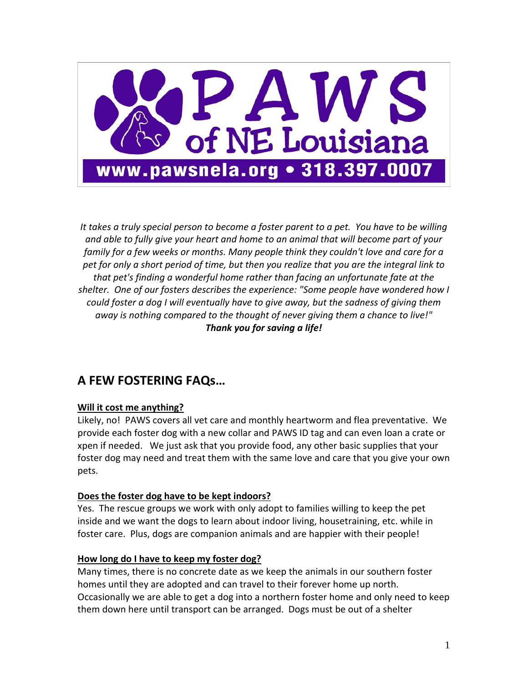

It takes a truly special person to become a foster parent to a pet. You have to be willing *and able to fully give your heart and home to an animal that will become part of your family for a few weeks or months. Many people think they couldn't love and care for a pet for only a short period of time, but then you realize that you are the integral link to that pet's finding a wonderful home rather than facing an unfortunate fate at the shelter. One of our fosters describes the experience: "Some people have wondered how I could foster a dog I will eventually have to give away, but the sadness of giving them away is nothing compared to the thought of never giving them a chance to live!" Thank you for saving a life!*

## **A FEW FOSTERING FAQs…**

### **Will it cost me anything?**

Likely, no! PAWS covers all vet care and monthly heartworm and flea preventative. We provide each foster dog with a new collar and PAWS ID tag and can even loan a crate or xpen if needed. We just ask that you provide food, any other basic supplies that your foster dog may need and treat them with the same love and care that you give your own pets.

### **Does the foster dog have to be kept indoors?**

Yes. The rescue groups we work with only adopt to families willing to keep the pet inside and we want the dogs to learn about indoor living, housetraining, etc. while in foster care. Plus, dogs are companion animals and are happier with their people!

### **How long do I have to keep my foster dog?**

Many times, there is no concrete date as we keep the animals in our southern foster homes until they are adopted and can travel to their forever home up north. Occasionally we are able to get a dog into a northern foster home and only need to keep them down here until transport can be arranged. Dogs must be out of a shelter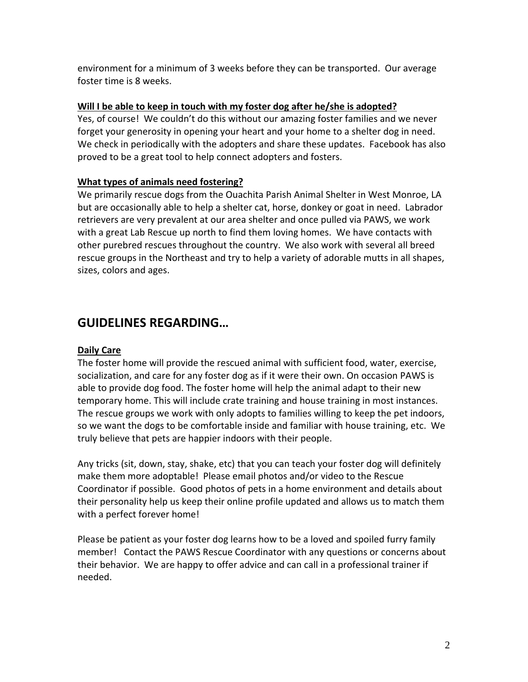environment for a minimum of 3 weeks before they can be transported. Our average foster time is 8 weeks.

## **Will I be able to keep in touch with my foster dog after he/she is adopted?**

Yes, of course! We couldn't do this without our amazing foster families and we never forget your generosity in opening your heart and your home to a shelter dog in need. We check in periodically with the adopters and share these updates. Facebook has also proved to be a great tool to help connect adopters and fosters.

## **What types of animals need fostering?**

We primarily rescue dogs from the Ouachita Parish Animal Shelter in West Monroe, LA but are occasionally able to help a shelter cat, horse, donkey or goat in need. Labrador retrievers are very prevalent at our area shelter and once pulled via PAWS, we work with a great Lab Rescue up north to find them loving homes. We have contacts with other purebred rescues throughout the country. We also work with several all breed rescue groups in the Northeast and try to help a variety of adorable mutts in all shapes, sizes, colors and ages.

# **GUIDELINES REGARDING…**

## **Daily Care**

The foster home will provide the rescued animal with sufficient food, water, exercise, socialization, and care for any foster dog as if it were their own. On occasion PAWS is able to provide dog food. The foster home will help the animal adapt to their new temporary home. This will include crate training and house training in most instances. The rescue groups we work with only adopts to families willing to keep the pet indoors, so we want the dogs to be comfortable inside and familiar with house training, etc. We truly believe that pets are happier indoors with their people.

Any tricks (sit, down, stay, shake, etc) that you can teach your foster dog will definitely make them more adoptable! Please email photos and/or video to the Rescue Coordinator if possible. Good photos of pets in a home environment and details about their personality help us keep their online profile updated and allows us to match them with a perfect forever home!

Please be patient as your foster dog learns how to be a loved and spoiled furry family member! Contact the PAWS Rescue Coordinator with any questions or concerns about their behavior. We are happy to offer advice and can call in a professional trainer if needed.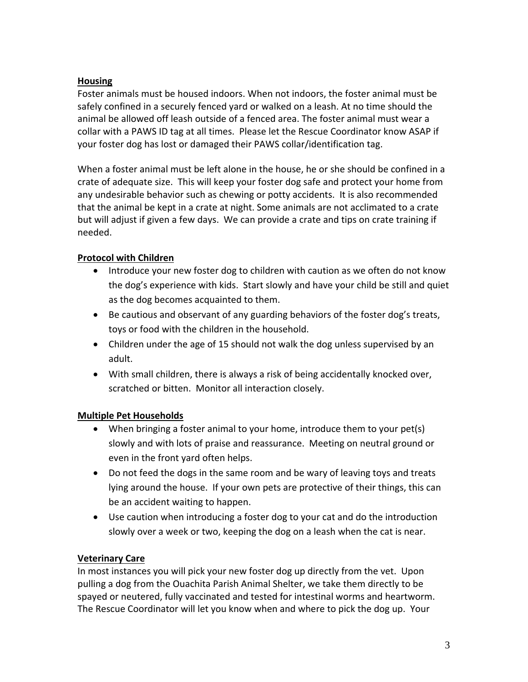### **Housing**

Foster animals must be housed indoors. When not indoors, the foster animal must be safely confined in a securely fenced yard or walked on a leash. At no time should the animal be allowed off leash outside of a fenced area. The foster animal must wear a collar with a PAWS ID tag at all times. Please let the Rescue Coordinator know ASAP if your foster dog has lost or damaged their PAWS collar/identification tag.

When a foster animal must be left alone in the house, he or she should be confined in a crate of adequate size. This will keep your foster dog safe and protect your home from any undesirable behavior such as chewing or potty accidents. It is also recommended that the animal be kept in a crate at night. Some animals are not acclimated to a crate but will adjust if given a few days. We can provide a crate and tips on crate training if needed.

## **Protocol with Children**

- Introduce your new foster dog to children with caution as we often do not know the dog's experience with kids. Start slowly and have your child be still and quiet as the dog becomes acquainted to them.
- Be cautious and observant of any guarding behaviors of the foster dog's treats, toys or food with the children in the household.
- Children under the age of 15 should not walk the dog unless supervised by an adult.
- With small children, there is always a risk of being accidentally knocked over, scratched or bitten. Monitor all interaction closely.

## **Multiple Pet Households**

- When bringing a foster animal to your home, introduce them to your pet(s) slowly and with lots of praise and reassurance. Meeting on neutral ground or even in the front yard often helps.
- Do not feed the dogs in the same room and be wary of leaving toys and treats lying around the house. If your own pets are protective of their things, this can be an accident waiting to happen.
- Use caution when introducing a foster dog to your cat and do the introduction slowly over a week or two, keeping the dog on a leash when the cat is near.

### **Veterinary Care**

In most instances you will pick your new foster dog up directly from the vet. Upon pulling a dog from the Ouachita Parish Animal Shelter, we take them directly to be spayed or neutered, fully vaccinated and tested for intestinal worms and heartworm. The Rescue Coordinator will let you know when and where to pick the dog up. Your